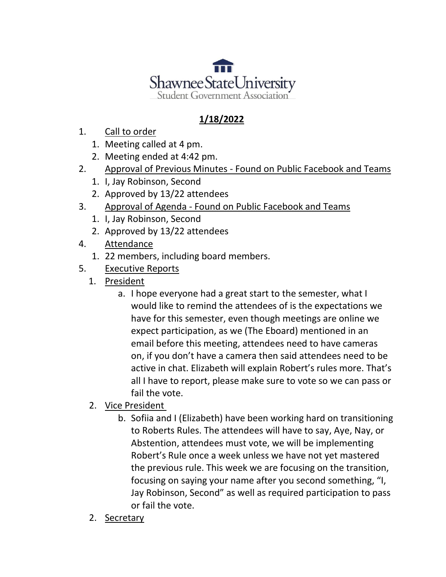

## **1/18/2022**

- 1. Call to order
	- 1. Meeting called at 4 pm.
	- 2. Meeting ended at 4:42 pm.
- 2. Approval of Previous Minutes Found on Public Facebook and Teams
	- 1. I, Jay Robinson, Second
	- 2. Approved by 13/22 attendees
- 3. Approval of Agenda Found on Public Facebook and Teams
	- 1. I, Jay Robinson, Second
	- 2. Approved by 13/22 attendees
- 4. Attendance
	- 1. 22 members, including board members.
- 5. Executive Reports
	- 1. President
		- a. I hope everyone had a great start to the semester, what I would like to remind the attendees of is the expectations we have for this semester, even though meetings are online we expect participation, as we (The Eboard) mentioned in an email before this meeting, attendees need to have cameras on, if you don't have a camera then said attendees need to be active in chat. Elizabeth will explain Robert's rules more. That's all I have to report, please make sure to vote so we can pass or fail the vote.
	- 2. Vice President
		- b. Sofiia and I (Elizabeth) have been working hard on transitioning to Roberts Rules. The attendees will have to say, Aye, Nay, or Abstention, attendees must vote, we will be implementing Robert's Rule once a week unless we have not yet mastered the previous rule. This week we are focusing on the transition, focusing on saying your name after you second something, "I, Jay Robinson, Second" as well as required participation to pass or fail the vote.
	- 2. Secretary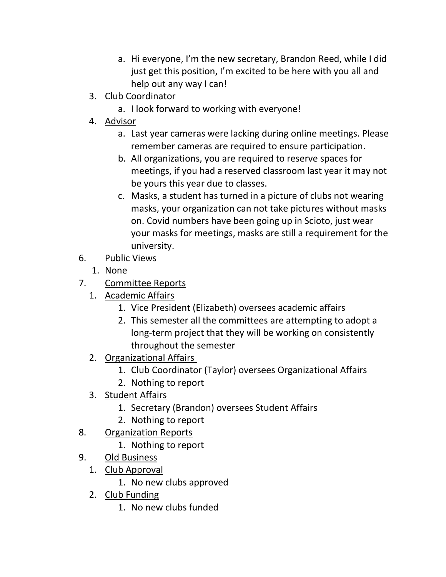- a. Hi everyone, I'm the new secretary, Brandon Reed, while I did just get this position, I'm excited to be here with you all and help out any way I can!
- 3. Club Coordinator
	- a. I look forward to working with everyone!
- 4. Advisor
	- a. Last year cameras were lacking during online meetings. Please remember cameras are required to ensure participation.
	- b. All organizations, you are required to reserve spaces for meetings, if you had a reserved classroom last year it may not be yours this year due to classes.
	- c. Masks, a student has turned in a picture of clubs not wearing masks, your organization can not take pictures without masks on. Covid numbers have been going up in Scioto, just wear your masks for meetings, masks are still a requirement for the university.
- 6. Public Views
	- 1. None
- 7. Committee Reports
	- 1. Academic Affairs
		- 1. Vice President (Elizabeth) oversees academic affairs
		- 2. This semester all the committees are attempting to adopt a long-term project that they will be working on consistently throughout the semester
	- 2. Organizational Affairs
		- 1. Club Coordinator (Taylor) oversees Organizational Affairs
		- 2. Nothing to report
	- 3. Student Affairs
		- 1. Secretary (Brandon) oversees Student Affairs
		- 2. Nothing to report
- 8. Organization Reports
	- 1. Nothing to report
- 9. Old Business
	- 1. Club Approval
		- 1. No new clubs approved
	- 2. Club Funding
		- 1. No new clubs funded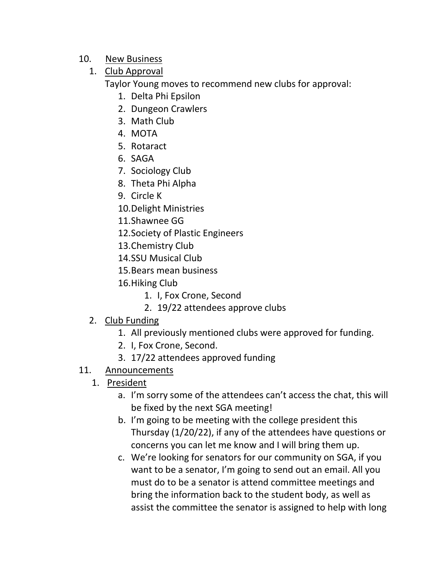- 10. New Business
	- 1. Club Approval

Taylor Young moves to recommend new clubs for approval:

- 1. Delta Phi Epsilon
- 2. Dungeon Crawlers
- 3. Math Club
- 4. MOTA
- 5. Rotaract
- 6. SAGA
- 7. Sociology Club
- 8. Theta Phi Alpha
- 9. Circle K
- 10.Delight Ministries
- 11.Shawnee GG
- 12.Society of Plastic Engineers
- 13.Chemistry Club
- 14.SSU Musical Club
- 15.Bears mean business
- 16.Hiking Club
	- 1. I, Fox Crone, Second
	- 2. 19/22 attendees approve clubs
- 2. Club Funding
	- 1. All previously mentioned clubs were approved for funding.
	- 2. I, Fox Crone, Second.
	- 3. 17/22 attendees approved funding
- 11. Announcements
	- 1. President
		- a. I'm sorry some of the attendees can't access the chat, this will be fixed by the next SGA meeting!
		- b. I'm going to be meeting with the college president this Thursday (1/20/22), if any of the attendees have questions or concerns you can let me know and I will bring them up.
		- c. We're looking for senators for our community on SGA, if you want to be a senator, I'm going to send out an email. All you must do to be a senator is attend committee meetings and bring the information back to the student body, as well as assist the committee the senator is assigned to help with long